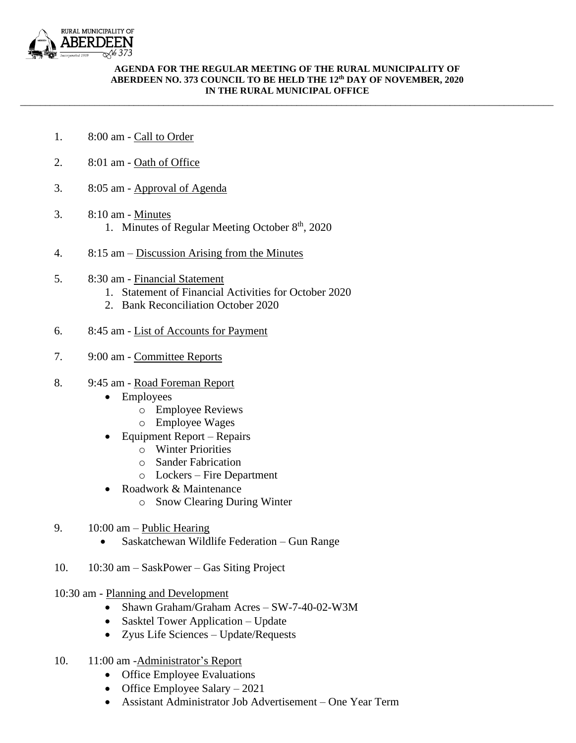

## **AGENDA FOR THE REGULAR MEETING OF THE RURAL MUNICIPALITY OF ABERDEEN NO. 373 COUNCIL TO BE HELD THE 12 th DAY OF NOVEMBER, 2020 IN THE RURAL MUNICIPAL OFFICE**

\_\_\_\_\_\_\_\_\_\_\_\_\_\_\_\_\_\_\_\_\_\_\_\_\_\_\_\_\_\_\_\_\_\_\_\_\_\_\_\_\_\_\_\_\_\_\_\_\_\_\_\_\_\_\_\_\_\_\_\_\_\_\_\_\_\_\_\_\_\_\_\_\_\_\_\_\_\_\_\_\_\_\_\_\_\_\_\_\_\_\_\_\_\_\_\_\_\_\_\_\_\_\_\_\_\_\_\_

- 1. 8:00 am Call to Order
- 2. 8:01 am Oath of Office
- 3. 8:05 am Approval of Agenda
- 3. 8:10 am Minutes 1. Minutes of Regular Meeting October 8<sup>th</sup>, 2020
- 4. 8:15 am Discussion Arising from the Minutes
- 5. 8:30 am Financial Statement
	- 1. Statement of Financial Activities for October 2020
	- 2. Bank Reconciliation October 2020
- 6. 8:45 am List of Accounts for Payment
- 7. 9:00 am Committee Reports
- 8. 9:45 am Road Foreman Report
	- Employees
		- o Employee Reviews
		- o Employee Wages
	- Equipment Report Repairs
		- o Winter Priorities
		- o Sander Fabrication
		- o Lockers Fire Department
	- Roadwork & Maintenance
		- o Snow Clearing During Winter
- 9. 10:00 am Public Hearing
	- Saskatchewan Wildlife Federation Gun Range
- 10. 10:30 am SaskPower Gas Siting Project
- 10:30 am Planning and Development
	- Shawn Graham/Graham Acres SW-7-40-02-W3M
	- Sasktel Tower Application Update
	- Zyus Life Sciences Update/Requests
- 10. 11:00 am -Administrator's Report
	- Office Employee Evaluations
	- Office Employee Salary 2021
	- Assistant Administrator Job Advertisement One Year Term